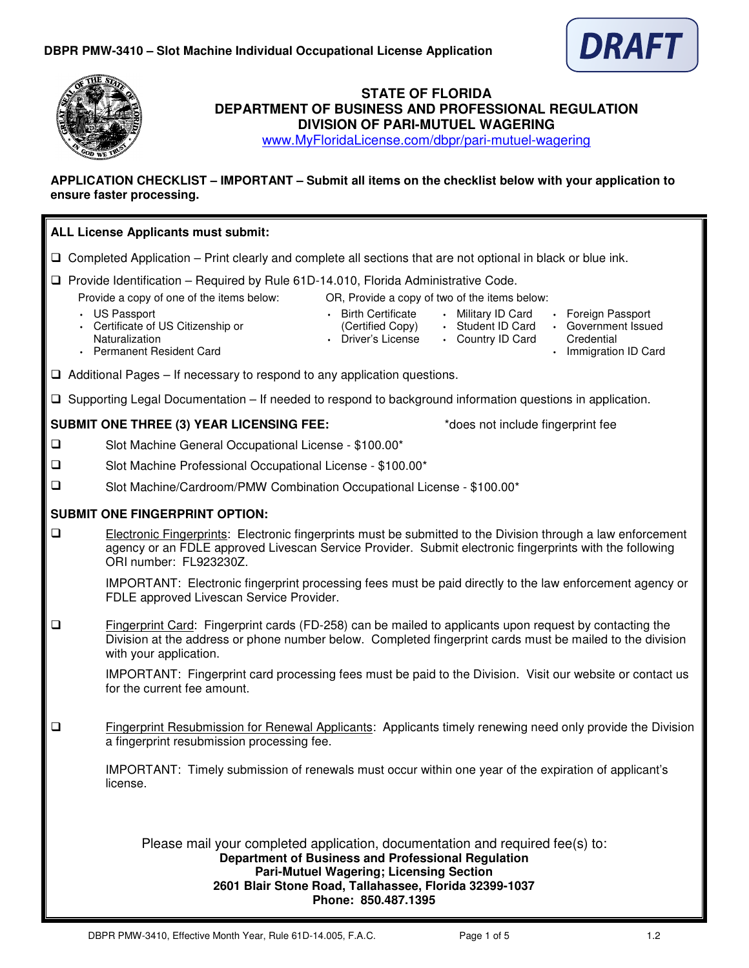



# **STATE OF FLORIDA DEPARTMENT OF BUSINESS AND PROFESSIONAL REGULATION DIVISION OF PARI-MUTUEL WAGERING**

www.MyFloridaLicense.com/dbpr/pari-mutuel-wagering

## **APPLICATION CHECKLIST – IMPORTANT – Submit all items on the checklist below with your application to ensure faster processing.**

| ALL License Applicants must submit:                                                                                |                                                                                                                                                                                                                                                                                                                                                                                                                                                                                                                    |  |  |  |  |  |
|--------------------------------------------------------------------------------------------------------------------|--------------------------------------------------------------------------------------------------------------------------------------------------------------------------------------------------------------------------------------------------------------------------------------------------------------------------------------------------------------------------------------------------------------------------------------------------------------------------------------------------------------------|--|--|--|--|--|
| $\Box$ Completed Application – Print clearly and complete all sections that are not optional in black or blue ink. |                                                                                                                                                                                                                                                                                                                                                                                                                                                                                                                    |  |  |  |  |  |
|                                                                                                                    | $\Box$ Provide Identification – Required by Rule 61D-14.010, Florida Administrative Code.<br>Provide a copy of one of the items below:<br>OR, Provide a copy of two of the items below:<br>• US Passport<br>• Birth Certificate<br>• Military ID Card<br>• Foreign Passport<br>• Certificate of US Citizenship or<br>· Student ID Card<br>• Government Issued<br>(Certified Copy)<br>Naturalization<br>• Driver's License<br>• Country ID Card<br>Credential<br>• Permanent Resident Card<br>• Immigration ID Card |  |  |  |  |  |
|                                                                                                                    | $\Box$ Additional Pages – If necessary to respond to any application questions.                                                                                                                                                                                                                                                                                                                                                                                                                                    |  |  |  |  |  |
|                                                                                                                    | $\Box$ Supporting Legal Documentation – If needed to respond to background information questions in application.                                                                                                                                                                                                                                                                                                                                                                                                   |  |  |  |  |  |
|                                                                                                                    | <b>SUBMIT ONE THREE (3) YEAR LICENSING FEE:</b><br>*does not include fingerprint fee                                                                                                                                                                                                                                                                                                                                                                                                                               |  |  |  |  |  |
| $\Box$                                                                                                             | Slot Machine General Occupational License - \$100.00*                                                                                                                                                                                                                                                                                                                                                                                                                                                              |  |  |  |  |  |
| ❏                                                                                                                  | Slot Machine Professional Occupational License - \$100.00*                                                                                                                                                                                                                                                                                                                                                                                                                                                         |  |  |  |  |  |
| $\Box$                                                                                                             | Slot Machine/Cardroom/PMW Combination Occupational License - \$100.00*                                                                                                                                                                                                                                                                                                                                                                                                                                             |  |  |  |  |  |
|                                                                                                                    | <b>SUBMIT ONE FINGERPRINT OPTION:</b>                                                                                                                                                                                                                                                                                                                                                                                                                                                                              |  |  |  |  |  |
| $\Box$                                                                                                             | Electronic Fingerprints: Electronic fingerprints must be submitted to the Division through a law enforcement<br>agency or an FDLE approved Livescan Service Provider. Submit electronic fingerprints with the following<br>ORI number: FL923230Z.<br>IMPORTANT: Electronic fingerprint processing fees must be paid directly to the law enforcement agency or<br>FDLE approved Livescan Service Provider.                                                                                                          |  |  |  |  |  |
| ❏                                                                                                                  | Fingerprint Card: Fingerprint cards (FD-258) can be mailed to applicants upon request by contacting the<br>Division at the address or phone number below. Completed fingerprint cards must be mailed to the division<br>with your application.                                                                                                                                                                                                                                                                     |  |  |  |  |  |
|                                                                                                                    | IMPORTANT: Fingerprint card processing fees must be paid to the Division. Visit our website or contact us<br>for the current fee amount.                                                                                                                                                                                                                                                                                                                                                                           |  |  |  |  |  |
| ❏                                                                                                                  | <b>Fingerprint Resubmission for Renewal Applicants:</b> Applicants timely renewing need only provide the Division<br>a fingerprint resubmission processing fee.                                                                                                                                                                                                                                                                                                                                                    |  |  |  |  |  |
|                                                                                                                    | IMPORTANT: Timely submission of renewals must occur within one year of the expiration of applicant's<br>license.                                                                                                                                                                                                                                                                                                                                                                                                   |  |  |  |  |  |
|                                                                                                                    | Please mail your completed application, documentation and required fee(s) to:<br>Department of Business and Professional Regulation<br><b>Pari-Mutuel Wagering; Licensing Section</b><br>2601 Blair Stone Road, Tallahassee, Florida 32399-1037<br>Phone: 850.487.1395                                                                                                                                                                                                                                             |  |  |  |  |  |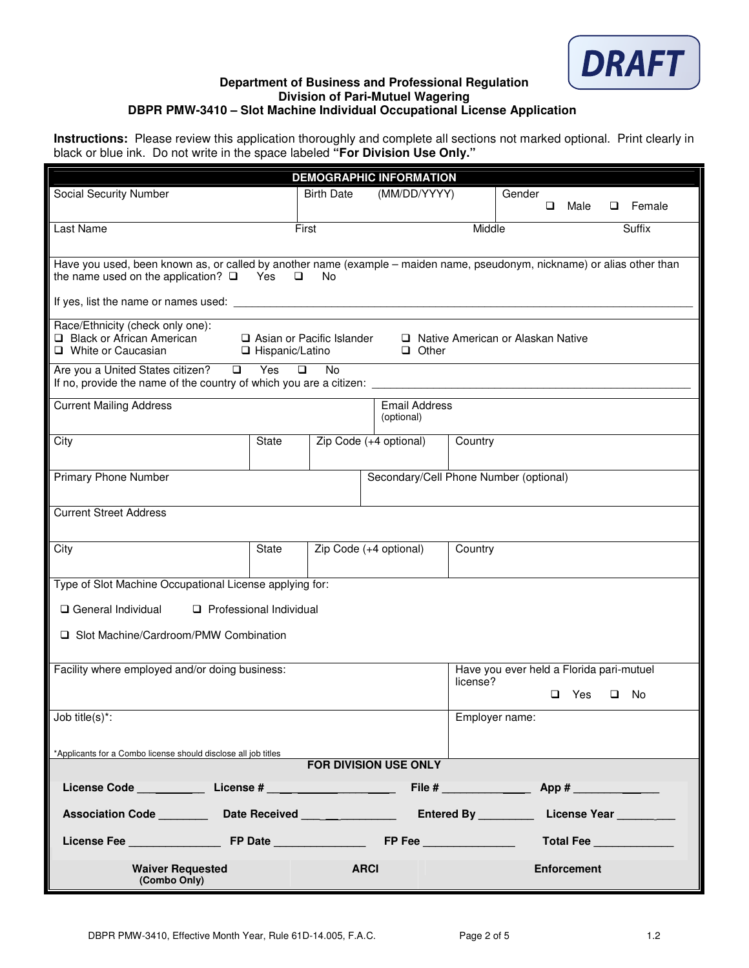

## **Department of Business and Professional Regulation Division of Pari-Mutuel Wagering DBPR PMW-3410 – Slot Machine Individual Occupational License Application**

**Instructions:** Please review this application thoroughly and complete all sections not marked optional. Print clearly in black or blue ink. Do not write in the space labeled **"For Division Use Only."**

|                                                                                                                                                                         |                                                       |                                    | <b>DEMOGRAPHIC INFORMATION</b>         |                |                                     |                    |               |        |
|-------------------------------------------------------------------------------------------------------------------------------------------------------------------------|-------------------------------------------------------|------------------------------------|----------------------------------------|----------------|-------------------------------------|--------------------|---------------|--------|
| Social Security Number                                                                                                                                                  |                                                       | <b>Birth Date</b>                  | (MM/DD/YYYY)<br>Gender                 |                | Male                                |                    | $\Box$ Female |        |
|                                                                                                                                                                         |                                                       |                                    |                                        |                |                                     | □                  |               |        |
| Last Name                                                                                                                                                               | First                                                 |                                    |                                        | Middle         |                                     |                    |               | Suffix |
|                                                                                                                                                                         |                                                       |                                    |                                        |                |                                     |                    |               |        |
| Have you used, been known as, or called by another name (example - maiden name, pseudonym, nickname) or alias other than<br>the name used on the application? $\square$ | Yes<br>□                                              | No.                                |                                        |                |                                     |                    |               |        |
|                                                                                                                                                                         |                                                       |                                    |                                        |                |                                     |                    |               |        |
| Race/Ethnicity (check only one):<br>Black or African American<br>□ White or Caucasian                                                                                   | $\Box$ Asian or Pacific Islander<br>□ Hispanic/Latino |                                    | $\Box$ Other                           |                | □ Native American or Alaskan Native |                    |               |        |
| Are you a United States citizen? □<br>If no, provide the name of the country of which you are a citizen:                                                                | Yes<br>$\Box$                                         | <b>No</b>                          |                                        |                |                                     |                    |               |        |
| <b>Current Mailing Address</b>                                                                                                                                          |                                                       | <b>Email Address</b><br>(optional) |                                        |                |                                     |                    |               |        |
| City                                                                                                                                                                    | <b>State</b>                                          |                                    | Zip Code (+4 optional)                 | Country        |                                     |                    |               |        |
| <b>Primary Phone Number</b>                                                                                                                                             |                                                       |                                    | Secondary/Cell Phone Number (optional) |                |                                     |                    |               |        |
| <b>Current Street Address</b>                                                                                                                                           |                                                       |                                    |                                        |                |                                     |                    |               |        |
| City                                                                                                                                                                    | State                                                 |                                    | Zip Code (+4 optional)                 | Country        |                                     |                    |               |        |
| Type of Slot Machine Occupational License applying for:                                                                                                                 |                                                       |                                    |                                        |                |                                     |                    |               |        |
| General Individual<br>Professional Individual                                                                                                                           |                                                       |                                    |                                        |                |                                     |                    |               |        |
| □ Slot Machine/Cardroom/PMW Combination                                                                                                                                 |                                                       |                                    |                                        |                |                                     |                    |               |        |
| Have you ever held a Florida pari-mutuel<br>Facility where employed and/or doing business:                                                                              |                                                       |                                    |                                        |                |                                     |                    |               |        |
|                                                                                                                                                                         |                                                       |                                    |                                        | license?       |                                     | Yes<br>□           | o             | No.    |
| Job title $(s)^*$ :                                                                                                                                                     |                                                       |                                    |                                        | Employer name: |                                     |                    |               |        |
|                                                                                                                                                                         |                                                       |                                    |                                        |                |                                     |                    |               |        |
| *Applicants for a Combo license should disclose all job titles                                                                                                          |                                                       |                                    |                                        |                |                                     |                    |               |        |
| FOR DIVISION USE ONLY                                                                                                                                                   |                                                       |                                    |                                        |                |                                     |                    |               |        |
|                                                                                                                                                                         |                                                       |                                    |                                        |                |                                     |                    |               |        |
| Entered By _____________ License Year                                                                                                                                   |                                                       |                                    |                                        |                |                                     |                    |               |        |
|                                                                                                                                                                         |                                                       |                                    |                                        |                |                                     | <b>Total Fee</b>   |               |        |
| <b>Waiver Requested</b><br>(Combo Only)                                                                                                                                 |                                                       |                                    | <b>ARCI</b>                            |                |                                     | <b>Enforcement</b> |               |        |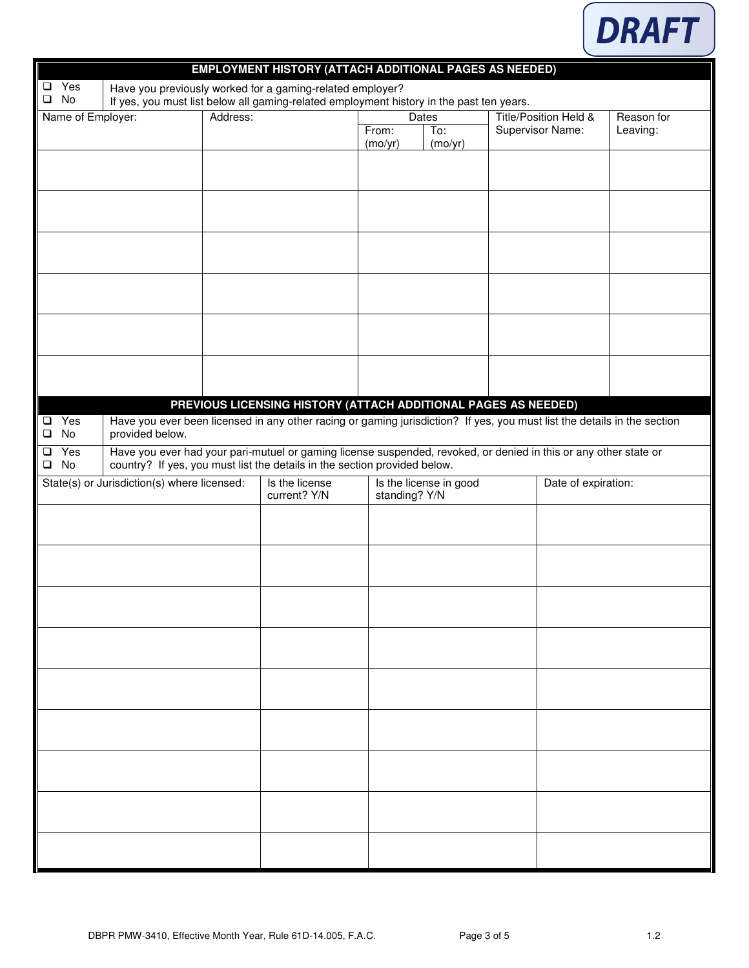

|                                                                                                                                           |                  |                                             |  | <b>EMPLOYMENT HISTORY (ATTACH ADDITIONAL PAGES AS NEEDED)</b>                                                                                                                                 |                                         |         |                       |                  |                     |  |  |
|-------------------------------------------------------------------------------------------------------------------------------------------|------------------|---------------------------------------------|--|-----------------------------------------------------------------------------------------------------------------------------------------------------------------------------------------------|-----------------------------------------|---------|-----------------------|------------------|---------------------|--|--|
|                                                                                                                                           | $\Box$ Yes       |                                             |  | Have you previously worked for a gaming-related employer?                                                                                                                                     |                                         |         |                       |                  |                     |  |  |
| $\square$ No<br>If yes, you must list below all gaming-related employment history in the past ten years.<br>Name of Employer:<br>Address: |                  |                                             |  |                                                                                                                                                                                               | <b>Dates</b>                            |         | Title/Position Held & |                  | Reason for          |  |  |
|                                                                                                                                           |                  |                                             |  |                                                                                                                                                                                               | From:                                   | To:     |                       | Supervisor Name: | Leaving:            |  |  |
|                                                                                                                                           |                  |                                             |  |                                                                                                                                                                                               | (mo/yr)                                 | (mo/yr) |                       |                  |                     |  |  |
|                                                                                                                                           |                  |                                             |  |                                                                                                                                                                                               |                                         |         |                       |                  |                     |  |  |
|                                                                                                                                           |                  |                                             |  |                                                                                                                                                                                               |                                         |         |                       |                  |                     |  |  |
|                                                                                                                                           |                  |                                             |  |                                                                                                                                                                                               |                                         |         |                       |                  |                     |  |  |
|                                                                                                                                           |                  |                                             |  |                                                                                                                                                                                               |                                         |         |                       |                  |                     |  |  |
|                                                                                                                                           |                  |                                             |  |                                                                                                                                                                                               |                                         |         |                       |                  |                     |  |  |
|                                                                                                                                           |                  |                                             |  |                                                                                                                                                                                               |                                         |         |                       |                  |                     |  |  |
|                                                                                                                                           |                  |                                             |  |                                                                                                                                                                                               |                                         |         |                       |                  |                     |  |  |
|                                                                                                                                           |                  |                                             |  |                                                                                                                                                                                               |                                         |         |                       |                  |                     |  |  |
|                                                                                                                                           |                  |                                             |  |                                                                                                                                                                                               |                                         |         |                       |                  |                     |  |  |
|                                                                                                                                           |                  |                                             |  | PREVIOUS LICENSING HISTORY (ATTACH ADDITIONAL PAGES AS NEEDED)                                                                                                                                |                                         |         |                       |                  |                     |  |  |
| $\Box$                                                                                                                                    | $\Box$ Yes<br>No | provided below.                             |  | Have you ever been licensed in any other racing or gaming jurisdiction? If yes, you must list the details in the section                                                                      |                                         |         |                       |                  |                     |  |  |
| $\Box$<br>$\Box$                                                                                                                          | Yes<br>No        |                                             |  | Have you ever had your pari-mutuel or gaming license suspended, revoked, or denied in this or any other state or<br>country? If yes, you must list the details in the section provided below. |                                         |         |                       |                  |                     |  |  |
|                                                                                                                                           |                  | State(s) or Jurisdiction(s) where licensed: |  | Is the license<br>current? Y/N                                                                                                                                                                | Is the license in good<br>standing? Y/N |         |                       |                  | Date of expiration: |  |  |
|                                                                                                                                           |                  |                                             |  |                                                                                                                                                                                               |                                         |         |                       |                  |                     |  |  |
|                                                                                                                                           |                  |                                             |  |                                                                                                                                                                                               |                                         |         |                       |                  |                     |  |  |
|                                                                                                                                           |                  |                                             |  |                                                                                                                                                                                               |                                         |         |                       |                  |                     |  |  |
|                                                                                                                                           |                  |                                             |  |                                                                                                                                                                                               |                                         |         |                       |                  |                     |  |  |
|                                                                                                                                           |                  |                                             |  |                                                                                                                                                                                               |                                         |         |                       |                  |                     |  |  |
|                                                                                                                                           |                  |                                             |  |                                                                                                                                                                                               |                                         |         |                       |                  |                     |  |  |
|                                                                                                                                           |                  |                                             |  |                                                                                                                                                                                               |                                         |         |                       |                  |                     |  |  |
|                                                                                                                                           |                  |                                             |  |                                                                                                                                                                                               |                                         |         |                       |                  |                     |  |  |
|                                                                                                                                           |                  |                                             |  |                                                                                                                                                                                               |                                         |         |                       |                  |                     |  |  |
|                                                                                                                                           |                  |                                             |  |                                                                                                                                                                                               |                                         |         |                       |                  |                     |  |  |
|                                                                                                                                           |                  |                                             |  |                                                                                                                                                                                               |                                         |         |                       |                  |                     |  |  |
|                                                                                                                                           |                  |                                             |  |                                                                                                                                                                                               |                                         |         |                       |                  |                     |  |  |
|                                                                                                                                           |                  |                                             |  |                                                                                                                                                                                               |                                         |         |                       |                  |                     |  |  |
|                                                                                                                                           |                  |                                             |  |                                                                                                                                                                                               |                                         |         |                       |                  |                     |  |  |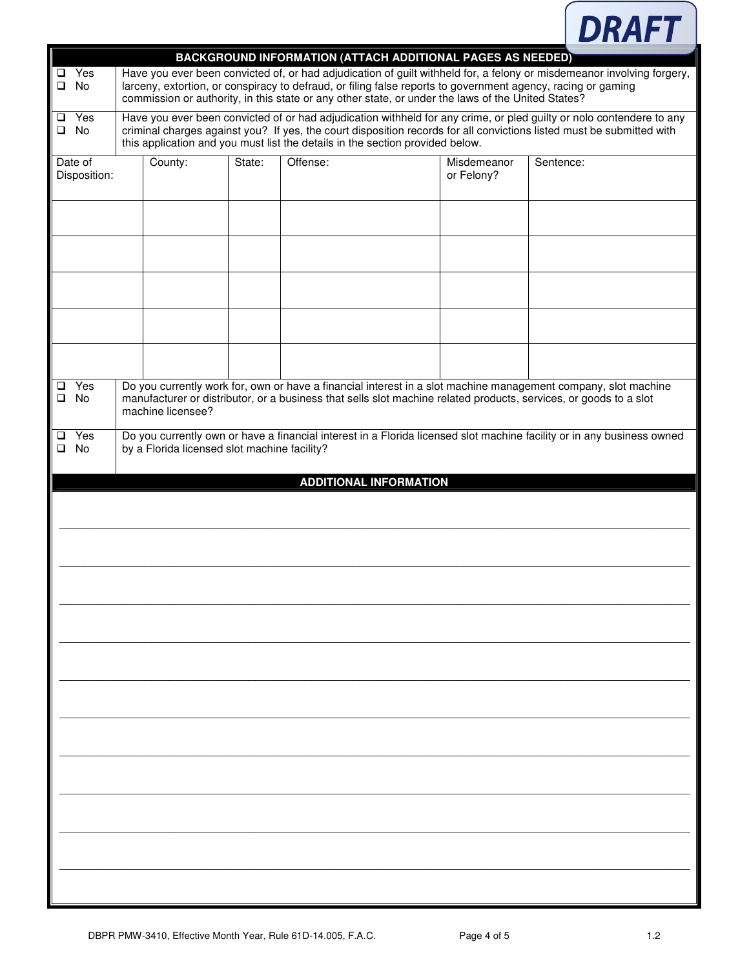

| ❏      | $\Box$ Yes<br>No        | <b>BACKGROUND INFORMATION (ATTACH ADDITIONAL PAGES AS NEEDED)</b><br>Have you ever been convicted of, or had adjudication of guilt withheld for, a felony or misdemeanor involving forgery,<br>larceny, extortion, or conspiracy to defraud, or filing false reports to government agency, racing or gaming<br>commission or authority, in this state or any other state, or under the laws of the United States? |                                              |        |                                                                                                                   |                           |                                                                                                                        |
|--------|-------------------------|-------------------------------------------------------------------------------------------------------------------------------------------------------------------------------------------------------------------------------------------------------------------------------------------------------------------------------------------------------------------------------------------------------------------|----------------------------------------------|--------|-------------------------------------------------------------------------------------------------------------------|---------------------------|------------------------------------------------------------------------------------------------------------------------|
| ❏<br>o | Yes<br>No               | Have you ever been convicted of or had adjudication withheld for any crime, or pled guilty or nolo contendere to any<br>criminal charges against you? If yes, the court disposition records for all convictions listed must be submitted with<br>this application and you must list the details in the section provided below.                                                                                    |                                              |        |                                                                                                                   |                           |                                                                                                                        |
|        | Date of<br>Disposition: |                                                                                                                                                                                                                                                                                                                                                                                                                   | County:                                      | State: | Offense:                                                                                                          | Misdemeanor<br>or Felony? | Sentence:                                                                                                              |
|        |                         |                                                                                                                                                                                                                                                                                                                                                                                                                   |                                              |        |                                                                                                                   |                           |                                                                                                                        |
|        |                         |                                                                                                                                                                                                                                                                                                                                                                                                                   |                                              |        |                                                                                                                   |                           |                                                                                                                        |
|        |                         |                                                                                                                                                                                                                                                                                                                                                                                                                   |                                              |        |                                                                                                                   |                           |                                                                                                                        |
| ⊔      | Yes                     |                                                                                                                                                                                                                                                                                                                                                                                                                   |                                              |        | Do you currently work for, own or have a financial interest in a slot machine management company, slot machine    |                           |                                                                                                                        |
| □      | No                      |                                                                                                                                                                                                                                                                                                                                                                                                                   | machine licensee?                            |        | manufacturer or distributor, or a business that sells slot machine related products, services, or goods to a slot |                           |                                                                                                                        |
| ⊔<br>❏ | Yes<br>No               |                                                                                                                                                                                                                                                                                                                                                                                                                   | by a Florida licensed slot machine facility? |        |                                                                                                                   |                           | Do you currently own or have a financial interest in a Florida licensed slot machine facility or in any business owned |
|        |                         |                                                                                                                                                                                                                                                                                                                                                                                                                   |                                              |        | <b>ADDITIONAL INFORMATION</b>                                                                                     |                           |                                                                                                                        |
|        |                         |                                                                                                                                                                                                                                                                                                                                                                                                                   |                                              |        |                                                                                                                   |                           |                                                                                                                        |
|        |                         |                                                                                                                                                                                                                                                                                                                                                                                                                   |                                              |        |                                                                                                                   |                           |                                                                                                                        |
|        |                         |                                                                                                                                                                                                                                                                                                                                                                                                                   |                                              |        |                                                                                                                   |                           |                                                                                                                        |
|        |                         |                                                                                                                                                                                                                                                                                                                                                                                                                   |                                              |        |                                                                                                                   |                           |                                                                                                                        |
|        |                         |                                                                                                                                                                                                                                                                                                                                                                                                                   |                                              |        |                                                                                                                   |                           |                                                                                                                        |
|        |                         |                                                                                                                                                                                                                                                                                                                                                                                                                   |                                              |        |                                                                                                                   |                           |                                                                                                                        |
|        |                         |                                                                                                                                                                                                                                                                                                                                                                                                                   |                                              |        |                                                                                                                   |                           |                                                                                                                        |
|        |                         |                                                                                                                                                                                                                                                                                                                                                                                                                   |                                              |        |                                                                                                                   |                           |                                                                                                                        |
|        |                         |                                                                                                                                                                                                                                                                                                                                                                                                                   |                                              |        |                                                                                                                   |                           |                                                                                                                        |